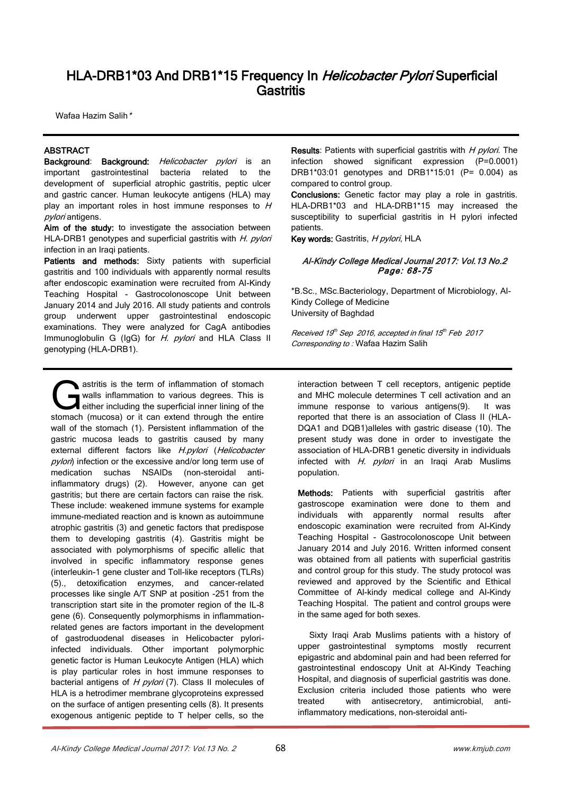# HLA-DRB1\*03 And DRB1\*15 Frequency In Helicobacter Pylori Superficial Gastritis

Wafaa Hazim Salih\*

# ABSTRACT

Background: Background: *Helicobacter pylori* is an important gastrointestinal bacteria related to the development of superficial atrophic gastritis, peptic ulcer and gastric cancer. Human leukocyte antigens (HLA) may play an important roles in host immune responses to  $H$ pylori antigens.

Aim of the study: to investigate the association between HLA-DRB1 genotypes and superficial gastritis with H. pylori infection in an Iraqi patients.

Patients and methods: Sixty patients with superficial gastritis and 100 individuals with apparently normal results after endoscopic examination were recruited from Al-Kindy Teaching Hospital - Gastrocolonoscope Unit between January 2014 and July 2016. All study patients and controls group underwent upper gastrointestinal endoscopic examinations. They were analyzed for CagA antibodies Immunoglobulin G (IgG) for H. *pylori* and HLA Class II genotyping (HLA-DRB1).

astritis is the term of inflammation of stomach walls inflammation to various degrees. This is either including the superficial inner lining of the astritis is the term of inflammation of stomach walls inflammation to various degrees. This is either including the superficial inner lining of the stomach (mucosa) or it can extend through the entire wall of the stomach (1). Persistent inflammation of the gastric mucosa leads to gastritis caused by many external different factors like *H.pylori (Helicobacter* pylori) infection or the excessive and/or long term use of medication suchas NSAIDs (non-steroidal antiinflammatory drugs) (2). However, anyone can get gastritis; but there are certain factors can raise the risk. These include: weakened immune systems for example immune-mediated reaction and is known as autoimmune atrophic gastritis (3) and genetic factors that predispose them to developing gastritis (4). Gastritis might be associated with polymorphisms of specific allelic that involved in specific inflammatory response genes (interleukin-1 gene cluster and Toll-like receptors (TLRs) (5)., detoxification enzymes, and cancer-related processes like single A/T SNP at position -251 from the transcription start site in the promoter region of the IL-8 gene (6). Consequently polymorphisms in inflammationrelated genes are factors important in the development of gastroduodenal diseases in Helicobacter pyloriinfected individuals. Other important polymorphic genetic factor is Human Leukocyte Antigen (HLA) which is play particular roles in host immune responses to bacterial antigens of  $H$  pylori (7). Class II molecules of HLA is a hetrodimer membrane glycoproteins expressed on the surface of antigen presenting cells (8). It presents exogenous antigenic peptide to T helper cells, so the

Results: Patients with superficial gastritis with H pylori. The infection showed significant expression (P=0.0001) DRB1\*03:01 genotypes and DRB1\*15:01 (P= 0.004) as compared to control group.

Conclusions: Genetic factor may play a role in gastritis. HLA-DRB1\*03 and HLA-DRB1\*15 may increased the susceptibility to superficial gastritis in H pylori infected patients.

Key words: Gastritis, H pylori, HLA

#### Al-Kindy College Medical Journal 2017: Vol.13 No.2 Page: 68-75

\*B.Sc., MSc.Bacteriology, Department of Microbiology, Al-Kindy College of Medicine University of Baghdad

Received 19th Sep 2016, accepted in final 15th Feb 2017 Corresponding to : Wafaa Hazim Salih

interaction between T cell receptors, antigenic peptide and MHC molecule determines T cell activation and an immune response to various antigens(9). It was reported that there is an association of Class II (HLA-DQA1 and DQB1)alleles with gastric disease (10). The present study was done in order to investigate the association of HLA-DRB1 genetic diversity in individuals infected with  $H.$  *pylori* in an Iraqi Arab Muslims population.

Methods: Patients with superficial gastritis after gastroscope examination were done to them and individuals with apparently normal results after endoscopic examination were recruited from Al-Kindy Teaching Hospital - Gastrocolonoscope Unit between January 2014 and July 2016. Written informed consent was obtained from all patients with superficial gastritis and control group for this study. The study protocol was reviewed and approved by the Scientific and Ethical Committee of Al-kindy medical college and Al-Kindy Teaching Hospital. The patient and control groups were in the same aged for both sexes.

 Sixty Iraqi Arab Muslims patients with a history of upper gastrointestinal symptoms mostly recurrent epigastric and abdominal pain and had been referred for gastrointestinal endoscopy Unit at Al-Kindy Teaching Hospital, and diagnosis of superficial gastritis was done. Exclusion criteria included those patients who were treated with antisecretory, antimicrobial, antiinflammatory medications, non-steroidal anti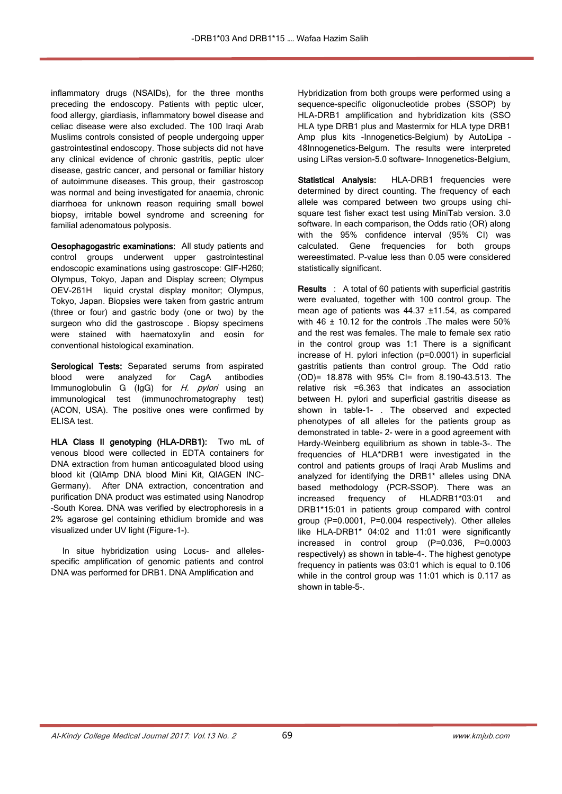inflammatory drugs (NSAIDs), for the three months preceding the endoscopy. Patients with peptic ulcer, food allergy, giardiasis, inflammatory bowel disease and celiac disease were also excluded. The 100 Iraqi Arab Muslims controls consisted of people undergoing upper gastrointestinal endoscopy. Those subjects did not have any clinical evidence of chronic gastritis, peptic ulcer disease, gastric cancer, and personal or familiar history of autoimmune diseases. This group, their gastroscop was normal and being investigated for anaemia, chronic diarrhoea for unknown reason requiring small bowel biopsy, irritable bowel syndrome and screening for familial adenomatous polyposis.

Oesophagogastric examinations: All study patients and control groups underwent upper gastrointestinal endoscopic examinations using gastroscope: GIF-H260; Olympus, Tokyo, Japan and Display screen; Olympus OEV-261H liquid crystal display monitor; Olympus, Tokyo, Japan. Biopsies were taken from gastric antrum (three or four) and gastric body (one or two) by the surgeon who did the gastroscope . Biopsy specimens were stained with haematoxylin and eosin for conventional histological examination.

Serological Tests: Separated serums from aspirated blood were analyzed for CagA antibodies Immunoglobulin G (IgG) for H. *pylori* using an immunological test (immunochromatography test) (ACON, USA). The positive ones were confirmed by ELISA test.

HLA Class II genotyping (HLA-DRB1): Two mL of venous blood were collected in EDTA containers for DNA extraction from human anticoagulated blood using blood kit (QIAmp DNA blood Mini Kit, QIAGEN INC-Germany). After DNA extraction, concentration and purification DNA product was estimated using Nanodrop –South Korea. DNA was verified by electrophoresis in a 2% agarose gel containing ethidium bromide and was visualized under UV light (Figure-1-).

 In situe hybridization using Locus- and allelesspecific amplification of genomic patients and control DNA was performed for DRB1. DNA Amplification and

Hybridization from both groups were performed using a sequence-specific oligonucleotide probes (SSOP) by HLA-DRB1 amplification and hybridization kits (SSO HLA type DRB1 plus and Mastermix for HLA type DRB1 Amp plus kits -Innogenetics-Belgium) by AutoLipa -48Innogenetics-Belgum. The results were interpreted using LiRas version-5.0 software- Innogenetics-Belgium.

Statistical Analysis: HLA-DRB1 frequencies were determined by direct counting. The frequency of each allele was compared between two groups using chisquare test fisher exact test using MiniTab version. 3.0 software. In each comparison, the Odds ratio (OR) along with the 95% confidence interval (95% CI) was calculated. Gene frequencies for both groups wereestimated. P-value less than 0.05 were considered statistically significant.

Results : A total of 60 patients with superficial gastritis were evaluated, together with 100 control group. The mean age of patients was 44.37 ±11.54, as compared with  $46 \pm 10.12$  for the controls . The males were 50% and the rest was females. The male to female sex ratio in the control group was 1:1 There is a significant increase of H. pylori infection (p=0.0001) in superficial gastritis patients than control group. The Odd ratio (OD)= 18.878 with 95% CI= from 8.190-43.513. The relative risk =6.363 that indicates an association between H. pylori and superficial gastritis disease as shown in table-1- . The observed and expected phenotypes of all alleles for the patients group as demonstrated in table- 2- were in a good agreement with Hardy-Weinberg equilibrium as shown in table-3-. The frequencies of HLA\*DRB1 were investigated in the control and patients groups of Iraqi Arab Muslims and analyzed for identifying the DRB1\* alleles using DNA based methodology (PCR-SSOP). There was an increased frequency of HLADRB1\*03:01 and DRB1\*15:01 in patients group compared with control group (P=0.0001, P=0.004 respectively). Other alleles like HLA-DRB1\* 04:02 and 11:01 were significantly increased in control group (P=0.036, P=0.0003 respectively) as shown in table-4-. The highest genotype frequency in patients was 03:01 which is equal to 0.106 while in the control group was 11:01 which is 0.117 as shown in table-5-.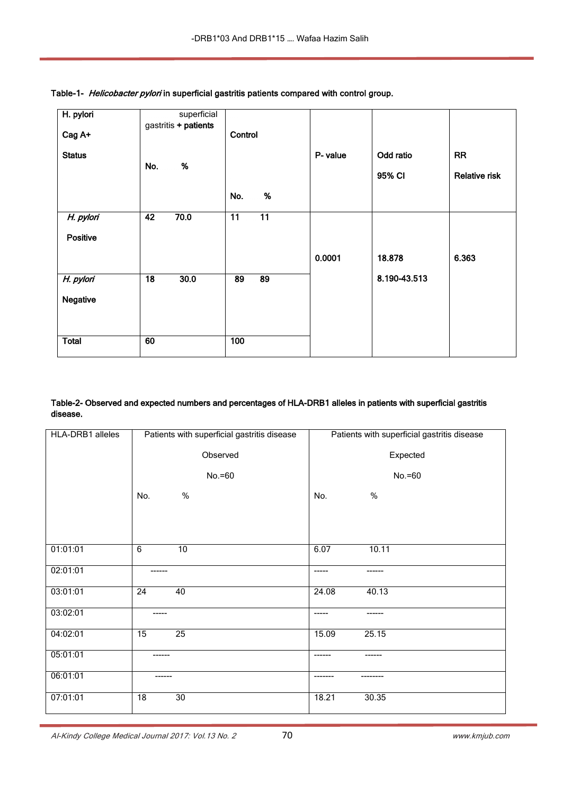| H. pylori     |                 | superficial<br>gastritis + patients |                 |                 |          |              |                      |
|---------------|-----------------|-------------------------------------|-----------------|-----------------|----------|--------------|----------------------|
| Cag A+        |                 |                                     | Control         |                 |          |              |                      |
| <b>Status</b> |                 |                                     |                 |                 | P- value | Odd ratio    | <b>RR</b>            |
|               | No.             | $\%$                                |                 |                 |          | 95% CI       | <b>Relative risk</b> |
|               |                 |                                     | No.             | $\%$            |          |              |                      |
| H. pylori     | $\overline{42}$ | 70.0                                | $\overline{11}$ | $\overline{11}$ |          |              |                      |
| Positive      |                 |                                     |                 |                 |          |              |                      |
|               |                 |                                     |                 |                 | 0.0001   | 18.878       | 6.363                |
| H. pylori     | $\overline{18}$ | 30.0                                | 89              | 89              |          | 8.190-43.513 |                      |
| Negative      |                 |                                     |                 |                 |          |              |                      |
|               |                 |                                     |                 |                 |          |              |                      |
| <b>Total</b>  | 60              |                                     | 100             |                 |          |              |                      |

Table-1- Helicobacter pylori in superficial gastritis patients compared with control group.

# Table-2- Observed and expected numbers and percentages of HLA-DRB1 alleles in patients with superficial gastritis disease.

| HLA-DRB1 alleles | Patients with superficial gastritis disease | Patients with superficial gastritis disease |
|------------------|---------------------------------------------|---------------------------------------------|
|                  | Observed                                    | Expected                                    |
|                  | $No.=60$                                    | $No.=60$                                    |
|                  | %<br>No.                                    | $\%$<br>No.                                 |
|                  |                                             |                                             |
|                  |                                             |                                             |
| 01:01:01         | 6<br>10                                     | 6.07<br>10.11                               |
| 02:01:01         | ------                                      | -----<br>------                             |
| 03:01:01         | $\overline{24}$<br>40                       | 40.13<br>24.08                              |
| 03:02:01         | ------                                      | $--- - -$<br>-------                        |
| 04:02:01         | 25<br>15                                    | 15.09<br>25.15                              |
| 05:01:01         | -------                                     | -------<br>------                           |
| 06:01:01         | ------                                      | -------<br>--------                         |
| 07:01:01         | $\overline{18}$<br>$\overline{30}$          | 18.21<br>30.35                              |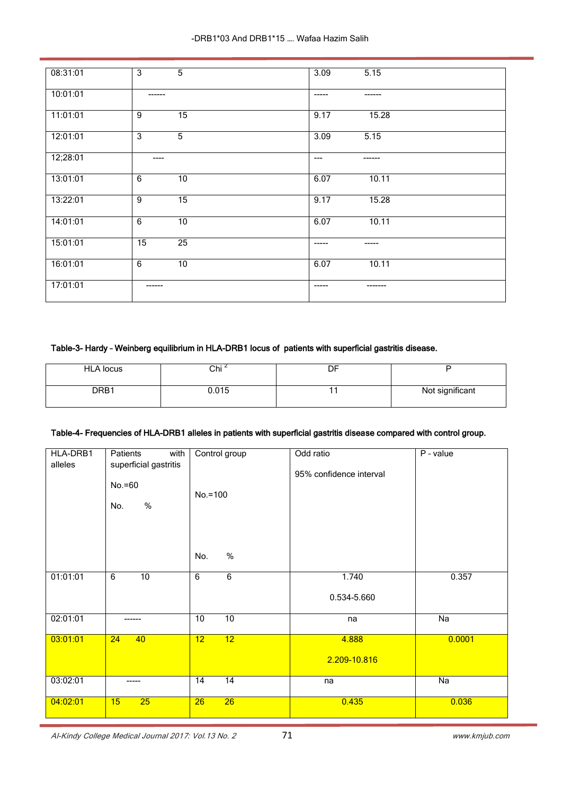| 08:31:01 | 3<br>5                 | 5.15<br>3.09           |
|----------|------------------------|------------------------|
| 10:01:01 | ------                 | $- - - - -$<br>------- |
| 11:01:01 | $\overline{15}$<br>9   | 15.28<br>9.17          |
| 12:01:01 | 3<br>$\overline{5}$    | 3.09<br>5.15           |
| 12;28:01 | $\qquad \qquad \cdots$ | $---$<br>-------       |
| 13:01:01 | 6<br>10                | 6.07<br>10.11          |
| 13:22:01 | 9<br>$\overline{15}$   | 15.28<br>9.17          |
| 14:01:01 | 6<br>$\overline{10}$   | 6.07<br>10.11          |
| 15:01:01 | $\overline{25}$<br>15  | $- - - - -$<br>-----   |
| 16:01:01 | 6<br>10                | 10.11<br>6.07          |
| 17:01:01 | ------                 | $- - - - -$            |

# Table-3- Hardy – Weinberg equilibrium in HLA-DRB1 locus of patients with superficial gastritis disease.

| <b>HLA locus</b> | Chi <sup>4</sup> | DF |                 |
|------------------|------------------|----|-----------------|
| DRB1             | 0.015            |    | Not significant |

## Table-4- Frequencies of HLA-DRB1 alleles in patients with superficial gastritis disease compared with control group.

| HLA-DRB1<br>alleles | Patients<br>with<br>superficial gastritis<br>$No.=60$<br>$\%$<br>No. | Control group<br>$No.=100$<br>$\%$<br>No. | Odd ratio<br>95% confidence interval | P - value       |
|---------------------|----------------------------------------------------------------------|-------------------------------------------|--------------------------------------|-----------------|
| 01:01:01            | $\overline{6}$<br>10                                                 | 6<br>$\overline{6}$                       | 1.740<br>0.534-5.660                 | 0.357           |
| 02:01:01            | ------                                                               | 10<br>10                                  | na                                   | $\overline{Na}$ |
| 03:01:01            | 24<br>40                                                             | 12<br>12                                  | 4.888<br>2.209-10.816                | 0.0001          |
| 03:02:01            | -----                                                                | 14<br>$\overline{14}$                     | na                                   | $\overline{Na}$ |
| 04:02:01            | 15<br>25                                                             | $\overline{26}$<br>26                     | 0.435                                | 0.036           |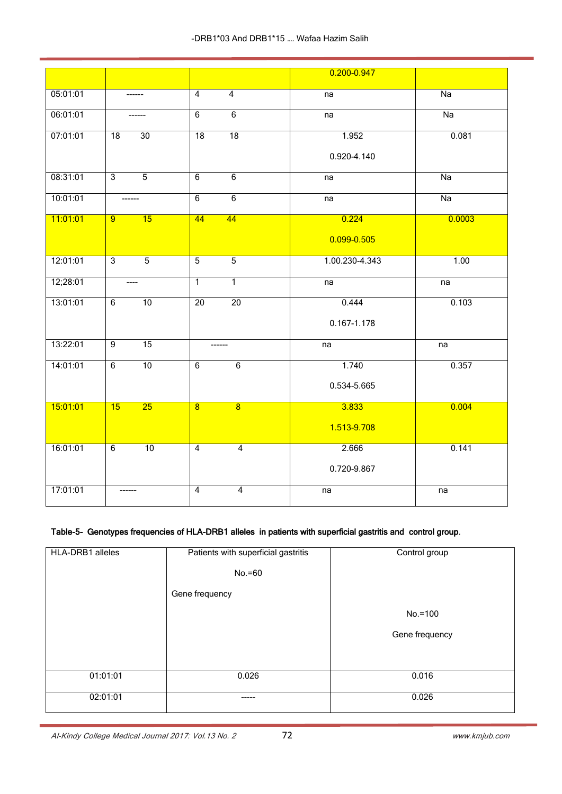|          |                                  |                                  | 0.200-0.947    |        |
|----------|----------------------------------|----------------------------------|----------------|--------|
| 05:01:01 |                                  | $\overline{4}$<br>$\overline{4}$ | na             | Na     |
| 06:01:01 | ------                           | $\overline{6}$<br>6              | na             | Na     |
| 07:01:01 | $\overline{18}$<br>30            | 18<br>$\overline{18}$            | 1.952          | 0.081  |
|          |                                  |                                  | 0.920-4.140    |        |
| 08:31:01 | $\overline{3}$<br>$\overline{5}$ | 6<br>6                           | na             | Na     |
| 10:01:01 | -------                          | $\overline{6}$<br>$\overline{6}$ | na             | Na     |
| 11:01:01 | 15<br>$\overline{9}$             | 44<br>44                         | 0.224          | 0.0003 |
|          |                                  |                                  | 0.099-0.505    |        |
| 12:01:01 | $\overline{3}$<br>$\overline{5}$ | $\overline{5}$<br>$\overline{5}$ | 1.00.230-4.343 | 1.00   |
| 12;28:01 | $---$                            | $\overline{1}$<br>$\overline{1}$ | na             | na     |
| 13:01:01 | 10<br>6                          | 20<br>20                         | 0.444          | 0.103  |
|          |                                  |                                  | 0.167-1.178    |        |
| 13:22:01 | 15<br>$\overline{9}$             | ------                           | na             | na     |
| 14:01:01 | 10<br>6                          | $\overline{6}$<br>6              | 1.740          | 0.357  |
|          |                                  |                                  | 0.534-5.665    |        |
| 15:01:01 | 25<br>15                         | $\overline{8}$<br>$\overline{8}$ | 3.833          | 0.004  |
|          |                                  |                                  | 1.513-9.708    |        |
| 16:01:01 | 10<br>6                          | $\overline{4}$<br>$\overline{4}$ | 2.666          | 0.141  |
|          |                                  |                                  | 0.720-9.867    |        |
| 17:01:01 | ------                           | 4<br>$\overline{4}$              | na             | na     |

# Table-5- Genotypes frequencies of HLA-DRB1 alleles in patients with superficial gastritis and control group.

| HLA-DRB1 alleles | Patients with superficial gastritis<br>$No.=60$ | Control group  |
|------------------|-------------------------------------------------|----------------|
|                  | Gene frequency                                  |                |
|                  |                                                 | $No.=100$      |
|                  |                                                 | Gene frequency |
|                  |                                                 |                |
| 01:01:01         | 0.026                                           | 0.016          |
| 02:01:01         | -----                                           | 0.026          |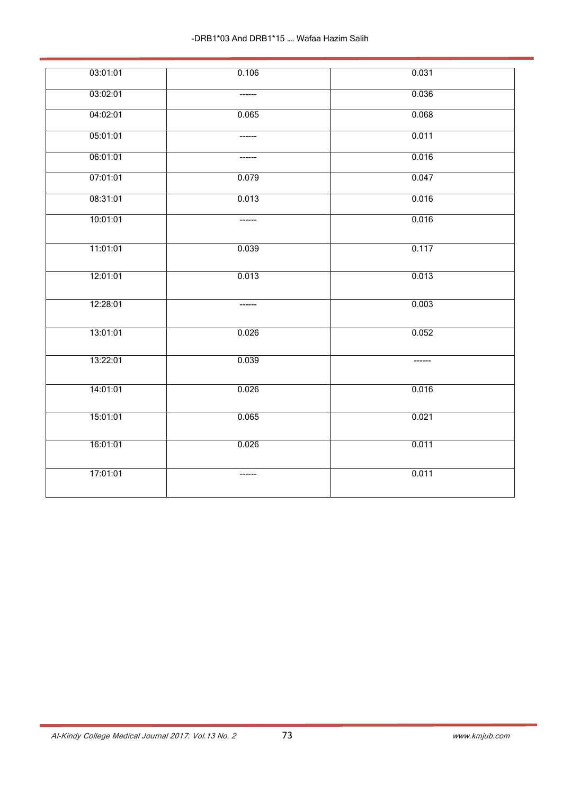| 03:01:01 | 0.106  | 0.031   |
|----------|--------|---------|
| 03:02:01 |        | 0.036   |
| 04:02:01 | 0.065  | 0.068   |
| 05:01:01 | ------ | 0.011   |
| 06:01:01 | ------ | 0.016   |
| 07:01:01 | 0.079  | 0.047   |
| 08:31:01 | 0.013  | 0.016   |
| 10:01:01 |        | 0.016   |
| 11:01:01 | 0.039  | 0.117   |
| 12:01:01 | 0.013  | 0.013   |
| 12:28:01 | ------ | 0.003   |
| 13:01:01 | 0.026  | 0.052   |
| 13:22:01 | 0.039  | ------- |
| 14:01:01 | 0.026  | 0.016   |
| 15:01:01 | 0.065  | 0.021   |
| 16:01:01 | 0.026  | 0.011   |
| 17:01:01 |        | 0.011   |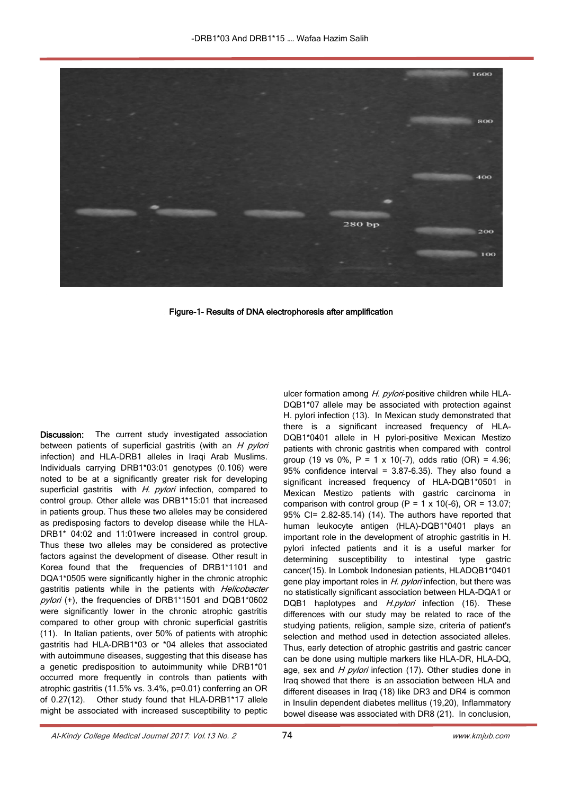

Figure-1- Results of DNA electrophoresis after amplification

Discussion: The current study investigated association between patients of superficial gastritis (with an  $H$  pylori infection) and HLA-DRB1 alleles in Iraqi Arab Muslims. Individuals carrying DRB1\*03:01 genotypes (0.106) were noted to be at a significantly greater risk for developing superficial gastritis with H. pylori infection, compared to control group. Other allele was DRB1\*15:01 that increased in patients group. Thus these two alleles may be considered as predisposing factors to develop disease while the HLA-DRB1\* 04:02 and 11:01were increased in control group. Thus these two alleles may be considered as protective factors against the development of disease. Other result in Korea found that the frequencies of DRB1\*1101 and DQA1\*0505 were significantly higher in the chronic atrophic gastritis patients while in the patients with Helicobacter pylori (+), the frequencies of DRB1\*1501 and DQB1\*0602 were significantly lower in the chronic atrophic gastritis compared to other group with chronic superficial gastritis (11). In Italian patients, over 50% of patients with atrophic gastritis had HLA-DRB1\*03 or \*04 alleles that associated with autoimmune diseases, suggesting that this disease has a genetic predisposition to autoimmunity while DRB1\*01 occurred more frequently in controls than patients with atrophic gastritis (11.5% vs. 3.4%, p=0.01) conferring an OR of 0.27(12). Other study found that HLA-DRB1\*17 allele might be associated with increased susceptibility to peptic

ulcer formation among H. pylori-positive children while HLA-DQB1\*07 allele may be associated with protection against H. pylori infection (13). In Mexican study demonstrated that there is a significant increased frequency of HLA-DQB1\*0401 allele in H pylori-positive Mexican Mestizo patients with chronic gastritis when compared with control group (19 vs 0%,  $P = 1 \times 10(-7)$ , odds ratio (OR) = 4.96; 95% confidence interval =  $3.87-6.35$ ). They also found a significant increased frequency of HLA-DQB1\*0501 in Mexican Mestizo patients with gastric carcinoma in comparison with control group ( $P = 1 \times 10(-6)$ , OR = 13.07; 95% CI= 2.82-85.14) (14). The authors have reported that human leukocyte antigen (HLA)-DQB1\*0401 plays an important role in the development of atrophic gastritis in H. pylori infected patients and it is a useful marker for determining susceptibility to intestinal type gastric cancer(15). In Lombok Indonesian patients, HLADQB1\*0401 gene play important roles in H. pylori infection, but there was no statistically significant association between HLA-DQA1 or DQB1 haplotypes and H.pylori infection (16). These differences with our study may be related to race of the studying patients, religion, sample size, criteria of patient's selection and method used in detection associated alleles. Thus, early detection of atrophic gastritis and gastric cancer can be done using multiple markers like HLA-DR, HLA-DQ, age, sex and  $H$  pylori infection (17). Other studies done in Iraq showed that there is an association between HLA and different diseases in Iraq (18) like DR3 and DR4 is common in Insulin dependent diabetes mellitus (19,20), Inflammatory bowel disease was associated with DR8 (21). In conclusion,